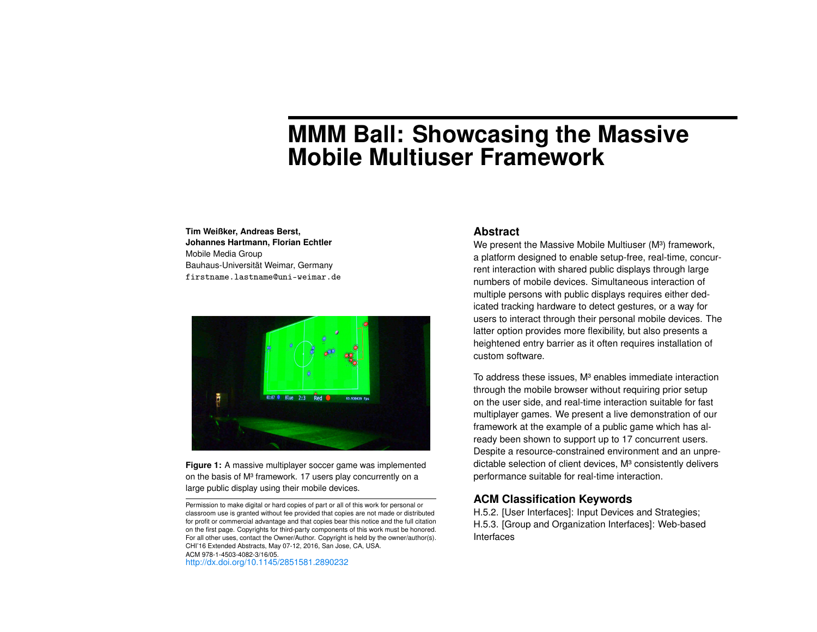# **MMM Ball: Showcasing the Massive Mobile Multiuser Framework**

#### **Tim Weißker, Andreas Berst, Johannes Hartmann, Florian Echtler** Mobile Media Group Bauhaus-Universität Weimar, Germany firstname.lastname@uni-weimar.de



<span id="page-0-0"></span>**Figure 1:** A massive multiplayer soccer game was implemented on the basis of M<sup>3</sup> framework. 17 users play concurrently on a large public display using their mobile devices.

#### **Abstract**

We present the Massive Mobile Multiuser (M<sup>3</sup>) framework, a platform designed to enable setup-free, real-time, concurrent interaction with shared public displays through large numbers of mobile devices. Simultaneous interaction of multiple persons with public displays requires either dedicated tracking hardware to detect gestures, or a way for users to interact through their personal mobile devices. The latter option provides more flexibility, but also presents a heightened entry barrier as it often requires installation of custom software.

To address these issues, M<sup>3</sup> enables immediate interaction through the mobile browser without requiring prior setup on the user side, and real-time interaction suitable for fast multiplayer games. We present a live demonstration of our framework at the example of a public game which has already been shown to support up to 17 concurrent users. Despite a resource-constrained environment and an unpredictable selection of client devices, M<sup>3</sup> consistently delivers performance suitable for real-time interaction.

## **ACM Classification Keywords**

H.5.2. [User Interfaces]: Input Devices and Strategies; H.5.3. [Group and Organization Interfaces]: Web-based Interfaces

Permission to make digital or hard copies of part or all of this work for personal or classroom use is granted without fee provided that copies are not made or distributed for profit or commercial advantage and that copies bear this notice and the full citation on the first page. Copyrights for third-party components of this work must be honored. For all other uses, contact the Owner/Author. Copyright is held by the owner/author(s). CHI'16 Extended Abstracts, May 07-12, 2016, San Jose, CA, USA. ACM 978-1-4503-4082-3/16/05. <http://dx.doi.org/10.1145/2851581.2890232>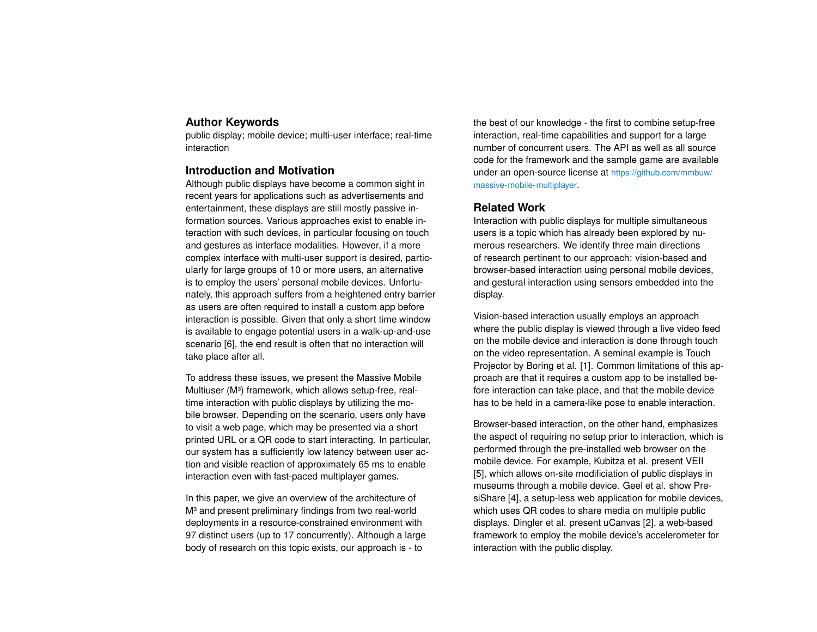# **Author Keywords**

public display; mobile device; multi-user interface; real-time interaction

## **Introduction and Motivation**

Although public displays have become a common sight in recent years for applications such as advertisements and entertainment, these displays are still mostly passive information sources. Various approaches exist to enable interaction with such devices, in particular focusing on touch and gestures as interface modalities. However, if a more complex interface with multi-user support is desired, particularly for large groups of 10 or more users, an alternative is to employ the users' personal mobile devices. Unfortunately, this approach suffers from a heightened entry barrier as users are often required to install a custom app before interaction is possible. Given that only a short time window is available to engage potential users in a walk-up-and-use scenario [\[6\]](#page-3-0), the end result is often that no interaction will take place after all.

To address these issues, we present the Massive Mobile Multiuser (M<sup>3</sup>) framework, which allows setup-free, realtime interaction with public displays by utilizing the mobile browser. Depending on the scenario, users only have to visit a web page, which may be presented via a short printed URL or a QR code to start interacting. In particular, our system has a sufficiently low latency between user action and visible reaction of approximately 65 ms to enable interaction even with fast-paced multiplayer games.

In this paper, we give an overview of the architecture of M<sup>3</sup> and present preliminary findings from two real-world deployments in a resource-constrained environment with 97 distinct users (up to 17 concurrently). Although a large body of research on this topic exists, our approach is - to

the best of our knowledge - the first to combine setup-free interaction, real-time capabilities and support for a large number of concurrent users. The API as well as all source code for the framework and the sample game are available under an open-source license at [https://github.com/mmbuw/](https://github.com/mmbuw/massive-mobile-multiplayer) [massive-mobile-multiplayer](https://github.com/mmbuw/massive-mobile-multiplayer).

## **Related Work**

Interaction with public displays for multiple simultaneous users is a topic which has already been explored by numerous researchers. We identify three main directions of research pertinent to our approach: vision-based and browser-based interaction using personal mobile devices, and gestural interaction using sensors embedded into the display.

Vision-based interaction usually employs an approach where the public display is viewed through a live video feed on the mobile device and interaction is done through touch on the video representation. A seminal example is Touch Projector by Boring et al. [\[1\]](#page-3-1). Common limitations of this approach are that it requires a custom app to be installed before interaction can take place, and that the mobile device has to be held in a camera-like pose to enable interaction.

Browser-based interaction, on the other hand, emphasizes the aspect of requiring no setup prior to interaction, which is performed through the pre-installed web browser on the mobile device. For example, Kubitza et al. present VEII [\[5\]](#page-3-2), which allows on-site modificiation of public displays in museums through a mobile device. Geel et al. show PresiShare [\[4\]](#page-3-3), a setup-less web application for mobile devices, which uses QR codes to share media on multiple public displays. Dingler et al. present uCanvas [\[2\]](#page-3-4), a web-based framework to employ the mobile device's accelerometer for interaction with the public display.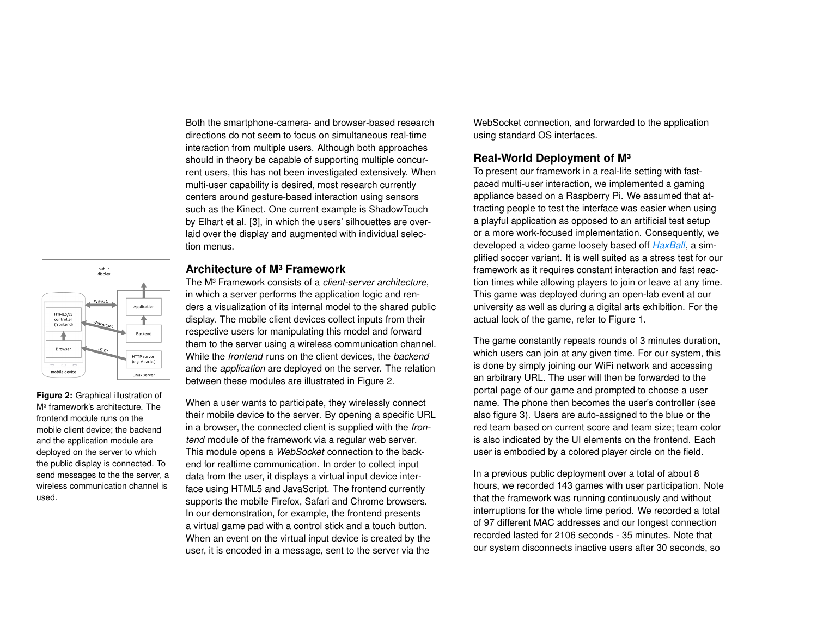Both the smartphone-camera- and browser-based research directions do not seem to focus on simultaneous real-time interaction from multiple users. Although both approaches should in theory be capable of supporting multiple concurrent users, this has not been investigated extensively. When multi-user capability is desired, most research currently centers around gesture-based interaction using sensors such as the Kinect. One current example is ShadowTouch by Elhart et al. [\[3\]](#page-3-5), in which the users' silhouettes are overlaid over the display and augmented with individual selection menus.



<span id="page-2-0"></span>**Figure 2:** Graphical illustration of M<sup>3</sup> framework's architecture. The frontend module runs on the mobile client device; the backend and the application module are deployed on the server to which the public display is connected. To send messages to the the server, a wireless communication channel is used.

## **Architecture of M³ Framework**

The M³ Framework consists of a *client-server architecture*, in which a server performs the application logic and renders a visualization of its internal model to the shared public display. The mobile client devices collect inputs from their respective users for manipulating this model and forward them to the server using a wireless communication channel. While the *frontend* runs on the client devices, the *backend* and the *application* are deployed on the server. The relation between these modules are illustrated in Figure [2.](#page-2-0)

When a user wants to participate, they wirelessly connect their mobile device to the server. By opening a specific URL in a browser, the connected client is supplied with the *frontend* module of the framework via a regular web server. This module opens a *WebSocket* connection to the backend for realtime communication. In order to collect input data from the user, it displays a virtual input device interface using HTML5 and JavaScript. The frontend currently supports the mobile Firefox, Safari and Chrome browsers. In our demonstration, for example, the frontend presents a virtual game pad with a control stick and a touch button. When an event on the virtual input device is created by the user, it is encoded in a message, sent to the server via the

WebSocket connection, and forwarded to the application using standard OS interfaces.

# **Real-World Deployment of M³**

To present our framework in a real-life setting with fastpaced multi-user interaction, we implemented a gaming appliance based on a Raspberry Pi. We assumed that attracting people to test the interface was easier when using a playful application as opposed to an artificial test setup or a more work-focused implementation. Consequently, we developed a video game loosely based off *[HaxBall](http://www.haxball.com)*, a simplified soccer variant. It is well suited as a stress test for our framework as it requires constant interaction and fast reaction times while allowing players to join or leave at any time. This game was deployed during an open-lab event at our university as well as during a digital arts exhibition. For the actual look of the game, refer to Figure [1.](#page-0-0)

The game constantly repeats rounds of 3 minutes duration, which users can join at any given time. For our system, this is done by simply joining our WiFi network and accessing an arbitrary URL. The user will then be forwarded to the portal page of our game and prompted to choose a user name. The phone then becomes the user's controller (see also figure [3\)](#page-3-6). Users are auto-assigned to the blue or the red team based on current score and team size; team color is also indicated by the UI elements on the frontend. Each user is embodied by a colored player circle on the field.

In a previous public deployment over a total of about 8 hours, we recorded 143 games with user participation. Note that the framework was running continuously and without interruptions for the whole time period. We recorded a total of 97 different MAC addresses and our longest connection recorded lasted for 2106 seconds - 35 minutes. Note that our system disconnects inactive users after 30 seconds, so